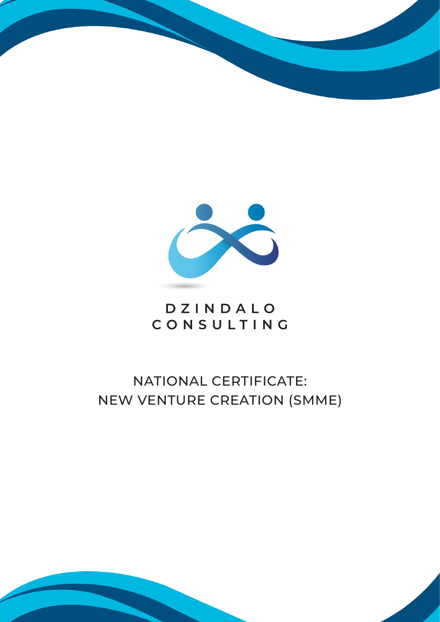



## **DZINDALO CONSULTING**

# NATIONAL CERTIFICATE: NEW VENTURE CREATION (SMME)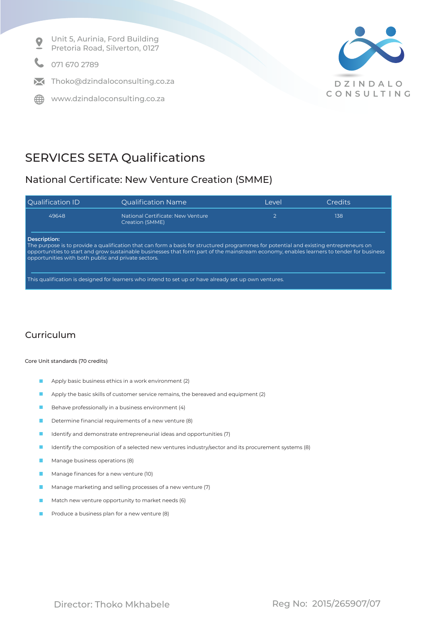

## SERVICES SETA Qualifications

### National Certificate: New Venture Creation (SMME)

| <b>Qualification ID</b>                                                                                                                                                                                                                                                                                                                                  | <b>Qualification Name</b>                            | l evel | Credits |
|----------------------------------------------------------------------------------------------------------------------------------------------------------------------------------------------------------------------------------------------------------------------------------------------------------------------------------------------------------|------------------------------------------------------|--------|---------|
| 49648                                                                                                                                                                                                                                                                                                                                                    | National Certificate: New Venture<br>Creation (SMME) |        | 138     |
| Description:<br>The purpose is to provide a qualification that can form a basis for structured programmes for potential and existing entrepreneurs on<br>opportunities to start and grow sustainable businesses that form part of the mainstream economy, enables learners to tender for business<br>opportunities with both public and private sectors. |                                                      |        |         |

This qualification is designed for learners who intend to set up or have already set up own ventures.

### Curriculum

Core Unit standards (70 credits)

- Apply basic business ethics in a work environment (2)
- Apply the basic skills of customer service remains, the bereaved and equipment (2)  $\blacksquare$
- Behave professionally in a business environment (4) **TT**
- $\mathbf{r}$ Determine financial requirements of a new venture (8)
- Identify and demonstrate entrepreneurial ideas and opportunities (7) П
- Identify the composition of a selected new ventures industry/sector and its procurement systems (8)
- Manage business operations (8)
- Manage finances for a new venture (10) m.
- Manage marketing and selling processes of a new venture (7)
- Match new venture opportunity to market needs (6)
- Produce a business plan for a new venture (8)